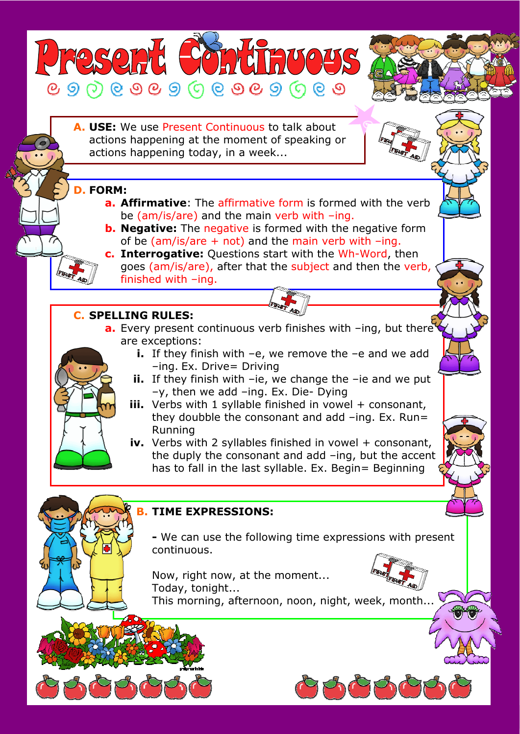**A. USE:** We use Present Continuous to talk about actions happening at the moment of speaking or actions happening today, in a week...

## **D. FORM:**  Ī

**TASSORY** 

J j

l  $\overline{a}$ 

> **a. Affirmative**: The affirmative form is formed with the verb be (am/is/are) and the main verb with –ing.

**SOMUTHUOUS** 

- **b. Negative:** The negative is formed with the negative form of be (am/is/are  $+$  not) and the main verb with  $-$ ing.
- **c. Interrogative:** Questions start with the Wh-Word, then goes (am/is/are), after that the subject and then the verb, finished with –ing.

## j **C. SPELLING RULES:**

- **a.** Every present continuous verb finishes with -ing, but there<sup>t</sup> are exceptions:
	- **i.** If they finish with –e, we remove the –e and we add –ing. Ex. Drive= Driving
	- **ii.** If they finish with –ie, we change the –ie and we put –y, then we add –ing. Ex. Die- Dying
	- **iii.** Verbs with 1 syllable finished in vowel + consonant, they doubble the consonant and add  $-$ ing. Ex. Run= Running
	- **iv.** Verbs with 2 syllables finished in vowel + consonant, the duply the consonant and add –ing, but the accent has to fall in the last syllable. Ex. Begin= Beginning

## **B. TIME EXPRESSIONS:**

**-** We can use the following time expressions with present continuous.

Now, right now, at the moment... Today, tonight...